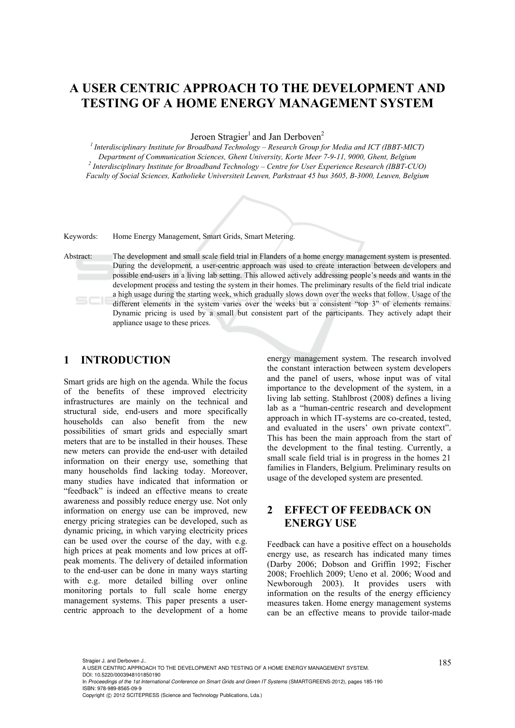# **A USER CENTRIC APPROACH TO THE DEVELOPMENT AND TESTING OF A HOME ENERGY MANAGEMENT SYSTEM**

Jeroen Stragier<sup>1</sup> and Jan Derboven<sup>2</sup>

*1 Interdisciplinary Institute for Broadband Technology – Research Group for Media and ICT (IBBT-MICT) Department of Communication Sciences, Ghent University, Korte Meer 7-9-11, 9000, Ghent, Belgium 2 Interdisciplinary Institute for Broadband Technology – Centre for User Experience Research (IBBT-CUO) Faculty of Social Sciences, Katholieke Universiteit Leuven, Parkstraat 45 bus 3605, B-3000, Leuven, Belgium* 

Keywords: Home Energy Management, Smart Grids, Smart Metering.

Abstract: The development and small scale field trial in Flanders of a home energy management system is presented. During the development, a user-centric approach was used to create interaction between developers and possible end-users in a living lab setting. This allowed actively addressing people's needs and wants in the development process and testing the system in their homes. The preliminary results of the field trial indicate a high usage during the starting week, which gradually slows down over the weeks that follow. Usage of the different elements in the system varies over the weeks but a consistent "top 3" of elements remains. Dynamic pricing is used by a small but consistent part of the participants. They actively adapt their appliance usage to these prices.

### **1 INTRODUCTION**

Smart grids are high on the agenda. While the focus of the benefits of these improved electricity infrastructures are mainly on the technical and structural side, end-users and more specifically households can also benefit from the new possibilities of smart grids and especially smart meters that are to be installed in their houses. These new meters can provide the end-user with detailed information on their energy use, something that many households find lacking today. Moreover, many studies have indicated that information or "feedback" is indeed an effective means to create awareness and possibly reduce energy use. Not only information on energy use can be improved, new energy pricing strategies can be developed, such as dynamic pricing, in which varying electricity prices can be used over the course of the day, with e.g. high prices at peak moments and low prices at offpeak moments. The delivery of detailed information to the end-user can be done in many ways starting with e.g. more detailed billing over online monitoring portals to full scale home energy management systems. This paper presents a usercentric approach to the development of a home energy management system. The research involved the constant interaction between system developers and the panel of users, whose input was of vital importance to the development of the system, in a living lab setting. Stahlbrost (2008) defines a living lab as a "human-centric research and development approach in which IT-systems are co-created, tested, and evaluated in the users' own private context". This has been the main approach from the start of the development to the final testing. Currently, a small scale field trial is in progress in the homes 21 families in Flanders, Belgium. Preliminary results on usage of the developed system are presented.

## **2 EFFECT OF FEEDBACK ON ENERGY USE**

Feedback can have a positive effect on a households energy use, as research has indicated many times (Darby 2006; Dobson and Griffin 1992; Fischer 2008; Froehlich 2009; Ueno et al. 2006; Wood and Newborough 2003). It provides users with information on the results of the energy efficiency measures taken. Home energy management systems can be an effective means to provide tailor-made

<sup>185</sup> Stragier J. and Derboven J.. A USER CENTRIC APPROACH TO THE DEVELOPMENT AND TESTING OF A HOME ENERGY MANAGEMENT SYSTEM. DOI: 10.5220/0003948101850190

In *Proceedings of the 1st International Conference on Smart Grids and Green IT Systems* (SMARTGREENS-2012), pages 185-190 ISBN: 978-989-8565-09-9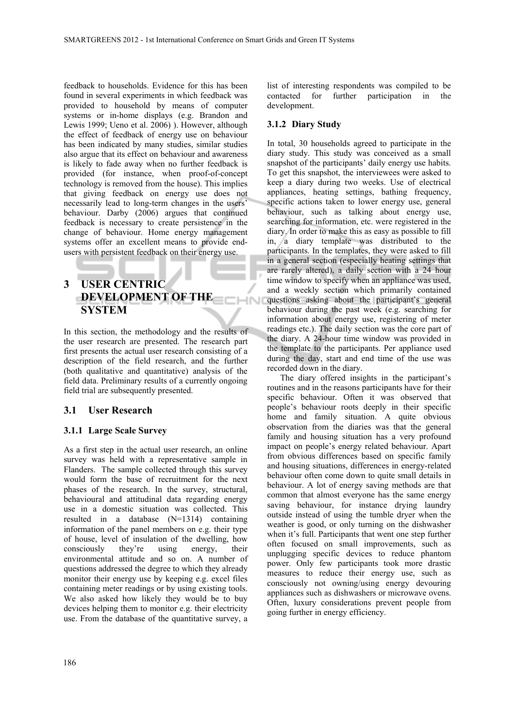feedback to households. Evidence for this has been found in several experiments in which feedback was provided to household by means of computer systems or in-home displays (e.g. Brandon and Lewis 1999; Ueno et al. 2006) ). However, although the effect of feedback of energy use on behaviour has been indicated by many studies, similar studies also argue that its effect on behaviour and awareness is likely to fade away when no further feedback is provided (for instance, when proof-of-concept technology is removed from the house). This implies that giving feedback on energy use does not necessarily lead to long-term changes in the users' behaviour. Darby (2006) argues that continued feedback is necessary to create persistence in the change of behaviour. Home energy management systems offer an excellent means to provide endusers with persistent feedback on their energy use.

## **3 USER CENTRIC DEVELOPMENT OF THE <b>EXECUT SYSTEM**

In this section, the methodology and the results of the user research are presented. The research part first presents the actual user research consisting of a description of the field research, and the further (both qualitative and quantitative) analysis of the field data. Preliminary results of a currently ongoing field trial are subsequently presented.

### **3.1 User Research**

#### **3.1.1 Large Scale Survey**

As a first step in the actual user research, an online survey was held with a representative sample in Flanders. The sample collected through this survey would form the base of recruitment for the next phases of the research. In the survey, structural, behavioural and attitudinal data regarding energy use in a domestic situation was collected. This resulted in a database (N=1314) containing information of the panel members on e.g. their type of house, level of insulation of the dwelling, how consciously they're using energy, their environmental attitude and so on. A number of questions addressed the degree to which they already monitor their energy use by keeping e.g. excel files containing meter readings or by using existing tools. We also asked how likely they would be to buy devices helping them to monitor e.g. their electricity use. From the database of the quantitative survey, a

list of interesting respondents was compiled to be contacted for further participation in the development.

#### **3.1.2 Diary Study**

In total, 30 households agreed to participate in the diary study. This study was conceived as a small snapshot of the participants' daily energy use habits. To get this snapshot, the interviewees were asked to keep a diary during two weeks. Use of electrical appliances, heating settings, bathing frequency, specific actions taken to lower energy use, general behaviour, such as talking about energy use, searching for information, etc. were registered in the diary. In order to make this as easy as possible to fill in, a diary template was distributed to the participants. In the templates, they were asked to fill in a general section (especially heating settings that are rarely altered), a daily section with a 24 hour time window to specify when an appliance was used, and a weekly section which primarily contained questions asking about the participant's general behaviour during the past week (e.g. searching for information about energy use, registering of meter readings etc.). The daily section was the core part of the diary. A 24-hour time window was provided in the template to the participants. Per appliance used during the day, start and end time of the use was recorded down in the diary.

The diary offered insights in the participant's routines and in the reasons participants have for their specific behaviour. Often it was observed that people's behaviour roots deeply in their specific home and family situation. A quite obvious observation from the diaries was that the general family and housing situation has a very profound impact on people's energy related behaviour. Apart from obvious differences based on specific family and housing situations, differences in energy-related behaviour often come down to quite small details in behaviour. A lot of energy saving methods are that common that almost everyone has the same energy saving behaviour, for instance drying laundry outside instead of using the tumble dryer when the weather is good, or only turning on the dishwasher when it's full. Participants that went one step further often focused on small improvements, such as unplugging specific devices to reduce phantom power. Only few participants took more drastic measures to reduce their energy use, such as consciously not owning/using energy devouring appliances such as dishwashers or microwave ovens. Often, luxury considerations prevent people from going further in energy efficiency.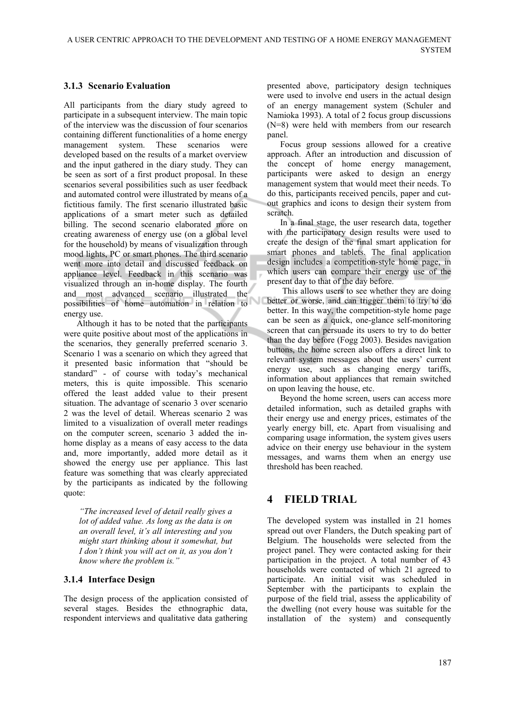#### **3.1.3 Scenario Evaluation**

All participants from the diary study agreed to participate in a subsequent interview. The main topic of the interview was the discussion of four scenarios containing different functionalities of a home energy management system. These scenarios were developed based on the results of a market overview and the input gathered in the diary study. They can be seen as sort of a first product proposal. In these scenarios several possibilities such as user feedback and automated control were illustrated by means of a fictitious family. The first scenario illustrated basic applications of a smart meter such as detailed billing. The second scenario elaborated more on creating awareness of energy use (on a global level for the household) by means of visualization through mood lights, PC or smart phones. The third scenario went more into detail and discussed feedback on appliance level. Feedback in this scenario was visualized through an in-home display. The fourth and most advanced scenario illustrated the possibilities of home automation in relation to energy use.

Although it has to be noted that the participants were quite positive about most of the applications in the scenarios, they generally preferred scenario 3. Scenario 1 was a scenario on which they agreed that it presented basic information that "should be standard" - of course with today's mechanical meters, this is quite impossible. This scenario offered the least added value to their present situation. The advantage of scenario 3 over scenario 2 was the level of detail. Whereas scenario 2 was limited to a visualization of overall meter readings on the computer screen, scenario 3 added the inhome display as a means of easy access to the data and, more importantly, added more detail as it showed the energy use per appliance. This last feature was something that was clearly appreciated by the participants as indicated by the following quote:

*"The increased level of detail really gives a lot of added value. As long as the data is on an overall level, it's all interesting and you might start thinking about it somewhat, but I don't think you will act on it, as you don't know where the problem is."* 

#### **3.1.4 Interface Design**

The design process of the application consisted of several stages. Besides the ethnographic data, respondent interviews and qualitative data gathering

presented above, participatory design techniques were used to involve end users in the actual design of an energy management system (Schuler and Namioka 1993). A total of 2 focus group discussions (N=8) were held with members from our research panel.

Focus group sessions allowed for a creative approach. After an introduction and discussion of the concept of home energy management, participants were asked to design an energy management system that would meet their needs. To do this, participants received pencils, paper and cutout graphics and icons to design their system from scratch.

In a final stage, the user research data, together with the participatory design results were used to create the design of the final smart application for smart phones and tablets. The final application design includes a competition-style home page, in which users can compare their energy use of the present day to that of the day before.

 This allows users to see whether they are doing better or worse, and can trigger them to try to do better. In this way, the competition-style home page can be seen as a quick, one-glance self-monitoring screen that can persuade its users to try to do better than the day before (Fogg 2003). Besides navigation buttons, the home screen also offers a direct link to relevant system messages about the users' current energy use, such as changing energy tariffs, information about appliances that remain switched on upon leaving the house, etc.

Beyond the home screen, users can access more detailed information, such as detailed graphs with their energy use and energy prices, estimates of the yearly energy bill, etc. Apart from visualising and comparing usage information, the system gives users advice on their energy use behaviour in the system messages, and warns them when an energy use threshold has been reached.

## **4 FIELD TRIAL**

The developed system was installed in 21 homes spread out over Flanders, the Dutch speaking part of Belgium. The households were selected from the project panel. They were contacted asking for their participation in the project. A total number of 43 households were contacted of which 21 agreed to participate. An initial visit was scheduled in September with the participants to explain the purpose of the field trial, assess the applicability of the dwelling (not every house was suitable for the installation of the system) and consequently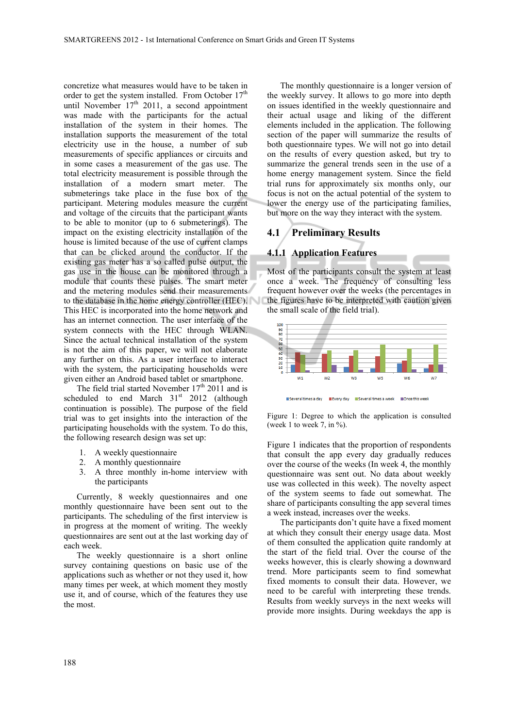concretize what measures would have to be taken in order to get the system installed. From October  $17<sup>th</sup>$ until November 17<sup>th</sup> 2011, a second appointment was made with the participants for the actual installation of the system in their homes. The installation supports the measurement of the total electricity use in the house, a number of sub measurements of specific appliances or circuits and in some cases a measurement of the gas use. The total electricity measurement is possible through the installation of a modern smart meter. The submeterings take place in the fuse box of the participant. Metering modules measure the current and voltage of the circuits that the participant wants to be able to monitor (up to 6 submeterings). The impact on the existing electricity installation of the house is limited because of the use of current clamps that can be clicked around the conductor. If the existing gas meter has a so called pulse output, the gas use in the house can be monitored through a module that counts these pulses. The smart meter and the metering modules send their measurements to the database in the home energy controller (HEC). This HEC is incorporated into the home network and has an internet connection. The user interface of the system connects with the HEC through WLAN. Since the actual technical installation of the system is not the aim of this paper, we will not elaborate any further on this. As a user interface to interact with the system, the participating households were given either an Android based tablet or smartphone.

The field trial started November  $17<sup>th</sup> 2011$  and is scheduled to end March 31<sup>st</sup> 2012 (although continuation is possible). The purpose of the field trial was to get insights into the interaction of the participating households with the system. To do this, the following research design was set up:

- 1. A weekly questionnaire
- 2. A monthly questionnaire
- 3. A three monthly in-home interview with the participants

Currently, 8 weekly questionnaires and one monthly questionnaire have been sent out to the participants. The scheduling of the first interview is in progress at the moment of writing. The weekly questionnaires are sent out at the last working day of each week.

The weekly questionnaire is a short online survey containing questions on basic use of the applications such as whether or not they used it, how many times per week, at which moment they mostly use it, and of course, which of the features they use the most.

The monthly questionnaire is a longer version of the weekly survey. It allows to go more into depth on issues identified in the weekly questionnaire and their actual usage and liking of the different elements included in the application. The following section of the paper will summarize the results of both questionnaire types. We will not go into detail on the results of every question asked, but try to summarize the general trends seen in the use of a home energy management system. Since the field trial runs for approximately six months only, our focus is not on the actual potential of the system to lower the energy use of the participating families, but more on the way they interact with the system.

#### **4.1 Preliminary Results**

#### **4.1.1 Application Features**

Most of the participants consult the system at least once a week. The frequency of consulting less frequent however over the weeks (the percentages in the figures have to be interpreted with caution given the small scale of the field trial).



Figure 1: Degree to which the application is consulted (week 1 to week 7, in  $\%$ ).

Figure 1 indicates that the proportion of respondents that consult the app every day gradually reduces over the course of the weeks (In week 4, the monthly questionnaire was sent out. No data about weekly use was collected in this week). The novelty aspect of the system seems to fade out somewhat. The share of participants consulting the app several times a week instead, increases over the weeks.

The participants don't quite have a fixed moment at which they consult their energy usage data. Most of them consulted the application quite randomly at the start of the field trial. Over the course of the weeks however, this is clearly showing a downward trend. More participants seem to find somewhat fixed moments to consult their data. However, we need to be careful with interpreting these trends. Results from weekly surveys in the next weeks will provide more insights. During weekdays the app is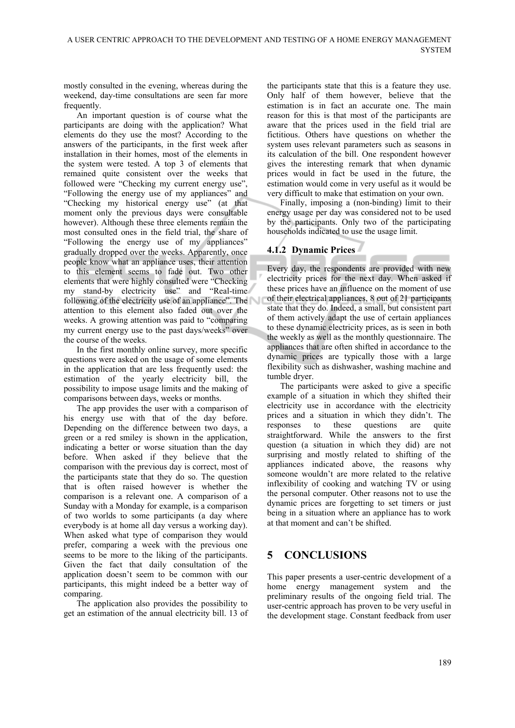mostly consulted in the evening, whereas during the weekend, day-time consultations are seen far more frequently.

An important question is of course what the participants are doing with the application? What elements do they use the most? According to the answers of the participants, in the first week after installation in their homes, most of the elements in the system were tested. A top 3 of elements that remained quite consistent over the weeks that followed were "Checking my current energy use", "Following the energy use of my appliances" and "Checking my historical energy use" (at that moment only the previous days were consultable however). Although these three elements remain the most consulted ones in the field trial, the share of "Following the energy use of my appliances" gradually dropped over the weeks. Apparently, once people know what an appliance uses, their attention to this element seems to fade out. Two other elements that were highly consulted were "Checking my stand-by electricity use" and "Real-time following of the electricity use of an appliance". The attention to this element also faded out over the weeks. A growing attention was paid to "comparing my current energy use to the past days/weeks" over the course of the weeks.

In the first monthly online survey, more specific questions were asked on the usage of some elements in the application that are less frequently used: the estimation of the yearly electricity bill, the possibility to impose usage limits and the making of comparisons between days, weeks or months.

The app provides the user with a comparison of his energy use with that of the day before. Depending on the difference between two days, a green or a red smiley is shown in the application, indicating a better or worse situation than the day before. When asked if they believe that the comparison with the previous day is correct, most of the participants state that they do so. The question that is often raised however is whether the comparison is a relevant one. A comparison of a Sunday with a Monday for example, is a comparison of two worlds to some participants (a day where everybody is at home all day versus a working day). When asked what type of comparison they would prefer, comparing a week with the previous one seems to be more to the liking of the participants. Given the fact that daily consultation of the application doesn't seem to be common with our participants, this might indeed be a better way of comparing.

The application also provides the possibility to get an estimation of the annual electricity bill. 13 of

the participants state that this is a feature they use. Only half of them however, believe that the estimation is in fact an accurate one. The main reason for this is that most of the participants are aware that the prices used in the field trial are fictitious. Others have questions on whether the system uses relevant parameters such as seasons in its calculation of the bill. One respondent however gives the interesting remark that when dynamic prices would in fact be used in the future, the estimation would come in very useful as it would be very difficult to make that estimation on your own.

Finally, imposing a (non-binding) limit to their energy usage per day was considered not to be used by the participants. Only two of the participating households indicated to use the usage limit.

### **4.1.2 Dynamic Prices**

Every day, the respondents are provided with new electricity prices for the next day. When asked if these prices have an influence on the moment of use of their electrical appliances, 8 out of 21 participants state that they do. Indeed, a small, but consistent part of them actively adapt the use of certain appliances to these dynamic electricity prices, as is seen in both the weekly as well as the monthly questionnaire. The appliances that are often shifted in accordance to the dynamic prices are typically those with a large flexibility such as dishwasher, washing machine and tumble dryer.

The participants were asked to give a specific example of a situation in which they shifted their electricity use in accordance with the electricity prices and a situation in which they didn't. The responses to these questions are quite straightforward. While the answers to the first question (a situation in which they did) are not surprising and mostly related to shifting of the appliances indicated above, the reasons why someone wouldn't are more related to the relative inflexibility of cooking and watching TV or using the personal computer. Other reasons not to use the dynamic prices are forgetting to set timers or just being in a situation where an appliance has to work at that moment and can't be shifted.

## **5 CONCLUSIONS**

This paper presents a user-centric development of a home energy management system and the preliminary results of the ongoing field trial. The user-centric approach has proven to be very useful in the development stage. Constant feedback from user